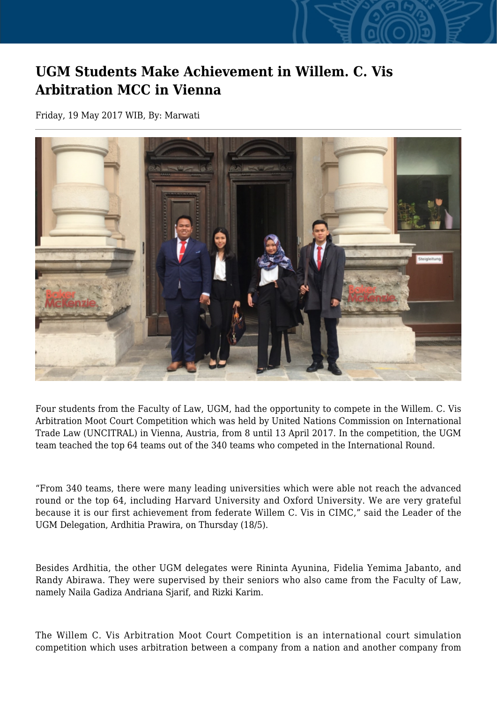## **UGM Students Make Achievement in Willem. C. Vis Arbitration MCC in Vienna**

Friday, 19 May 2017 WIB, By: Marwati



Four students from the Faculty of Law, UGM, had the opportunity to compete in the Willem. C. Vis Arbitration Moot Court Competition which was held by United Nations Commission on International Trade Law (UNCITRAL) in Vienna, Austria, from 8 until 13 April 2017. In the competition, the UGM team teached the top 64 teams out of the 340 teams who competed in the International Round.

"From 340 teams, there were many leading universities which were able not reach the advanced round or the top 64, including Harvard University and Oxford University. We are very grateful because it is our first achievement from federate Willem C. Vis in CIMC," said the Leader of the UGM Delegation, Ardhitia Prawira, on Thursday (18/5).

Besides Ardhitia, the other UGM delegates were Rininta Ayunina, Fidelia Yemima Jabanto, and Randy Abirawa. They were supervised by their seniors who also came from the Faculty of Law, namely Naila Gadiza Andriana Sjarif, and Rizki Karim.

The Willem C. Vis Arbitration Moot Court Competition is an international court simulation competition which uses arbitration between a company from a nation and another company from